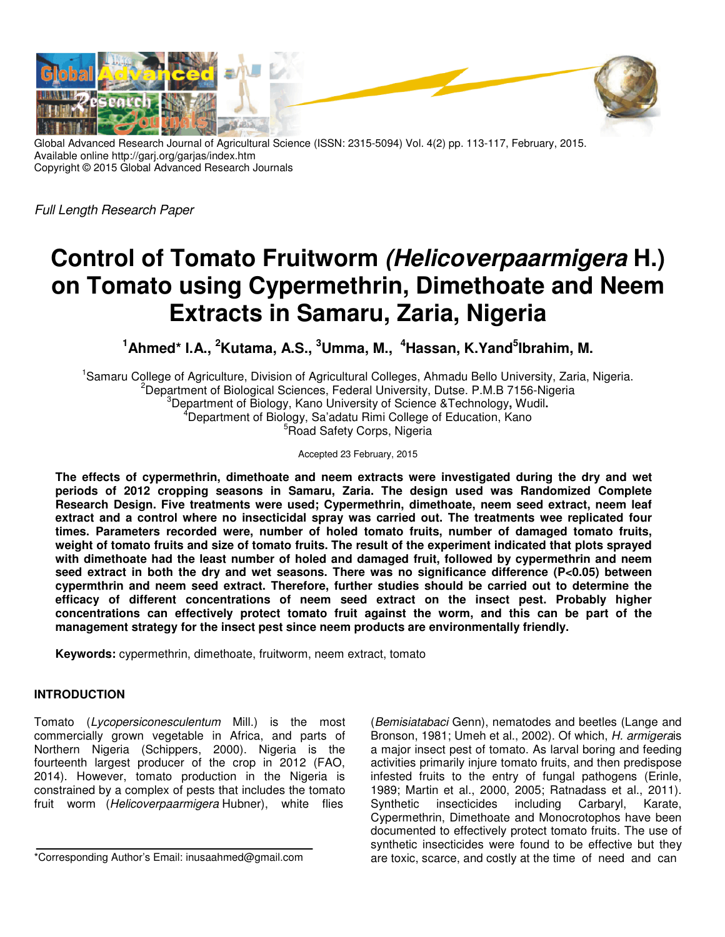

Global Advanced Research Journal of Agricultural Science (ISSN: 2315-5094) Vol. 4(2) pp. 113-117, February, 2015. Available online http://garj.org/garjas/index.htm Copyright © 2015 Global Advanced Research Journals

Full Length Research Paper

# **Control of Tomato Fruitworm (Helicoverpaarmigera H.) on Tomato using Cypermethrin, Dimethoate and Neem Extracts in Samaru, Zaria, Nigeria**

**<sup>1</sup>Ahmed\* I.A., <sup>2</sup>Kutama, A.S., <sup>3</sup>Umma, M., <sup>4</sup>Hassan, K.Yand<sup>5</sup> Ibrahim, M.** 

<sup>1</sup>Samaru College of Agriculture, Division of Agricultural Colleges, Ahmadu Bello University, Zaria, Nigeria. <sup>2</sup>Department of Biological Sciences, Federal University, Dutse, P.M.B 7156-Nigeria <sup>3</sup>Department of Biology, Kano University of Science &Technology**,** Wudil**.**  <sup>4</sup>Department of Biology, Sa'adatu Rimi College of Education, Kano <sup>5</sup>Road Safety Corps, Nigeria

Accepted 23 February, 2015

**The effects of cypermethrin, dimethoate and neem extracts were investigated during the dry and wet periods of 2012 cropping seasons in Samaru, Zaria. The design used was Randomized Complete Research Design. Five treatments were used; Cypermethrin, dimethoate, neem seed extract, neem leaf extract and a control where no insecticidal spray was carried out. The treatments wee replicated four times. Parameters recorded were, number of holed tomato fruits, number of damaged tomato fruits, weight of tomato fruits and size of tomato fruits. The result of the experiment indicated that plots sprayed with dimethoate had the least number of holed and damaged fruit, followed by cypermethrin and neem seed extract in both the dry and wet seasons. There was no significance difference (P<0.05) between cypermthrin and neem seed extract. Therefore, further studies should be carried out to determine the efficacy of different concentrations of neem seed extract on the insect pest. Probably higher concentrations can effectively protect tomato fruit against the worm, and this can be part of the management strategy for the insect pest since neem products are environmentally friendly.** 

**Keywords:** cypermethrin, dimethoate, fruitworm, neem extract, tomato

### **INTRODUCTION**

Tomato (Lycopersiconesculentum Mill.) is the most commercially grown vegetable in Africa, and parts of Northern Nigeria (Schippers, 2000). Nigeria is the fourteenth largest producer of the crop in 2012 (FAO, 2014). However, tomato production in the Nigeria is constrained by a complex of pests that includes the tomato fruit worm (Helicoverpaarmigera Hubner), white flies

(Bemisiatabaci Genn), nematodes and beetles (Lange and Bronson, 1981; Umeh et al., 2002). Of which, H. armigerais a major insect pest of tomato. As larval boring and feeding activities primarily injure tomato fruits, and then predispose infested fruits to the entry of fungal pathogens (Erinle, 1989; Martin et al., 2000, 2005; Ratnadass et al., 2011). Synthetic insecticides including Carbaryl, Karate, Cypermethrin, Dimethoate and Monocrotophos have been documented to effectively protect tomato fruits. The use of synthetic insecticides were found to be effective but they are toxic, scarce, and costly at the time of need and can

<sup>\*</sup>Corresponding Author's Email: inusaahmed@gmail.com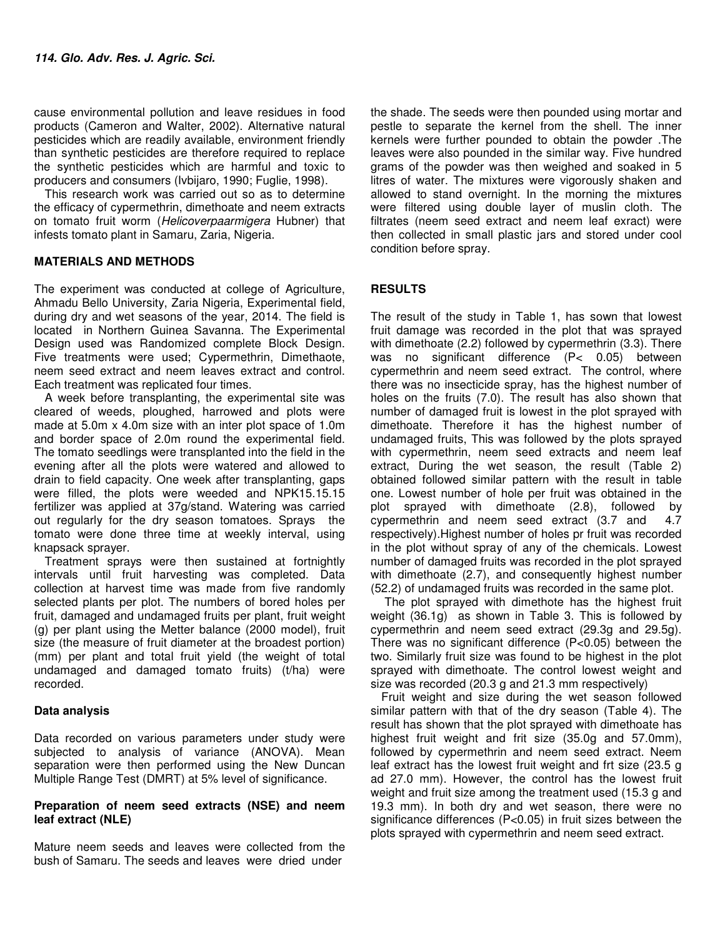cause environmental pollution and leave residues in food products (Cameron and Walter, 2002). Alternative natural pesticides which are readily available, environment friendly than synthetic pesticides are therefore required to replace the synthetic pesticides which are harmful and toxic to producers and consumers (Ivbijaro, 1990; Fuglie, 1998).

This research work was carried out so as to determine the efficacy of cypermethrin, dimethoate and neem extracts on tomato fruit worm (Helicoverpaarmigera Hubner) that infests tomato plant in Samaru, Zaria, Nigeria.

#### **MATERIALS AND METHODS**

The experiment was conducted at college of Agriculture, Ahmadu Bello University, Zaria Nigeria, Experimental field, during dry and wet seasons of the year, 2014. The field is located in Northern Guinea Savanna. The Experimental Design used was Randomized complete Block Design. Five treatments were used; Cypermethrin, Dimethaote, neem seed extract and neem leaves extract and control. Each treatment was replicated four times.

A week before transplanting, the experimental site was cleared of weeds, ploughed, harrowed and plots were made at 5.0m x 4.0m size with an inter plot space of 1.0m and border space of 2.0m round the experimental field. The tomato seedlings were transplanted into the field in the evening after all the plots were watered and allowed to drain to field capacity. One week after transplanting, gaps were filled, the plots were weeded and NPK15.15.15 fertilizer was applied at 37g/stand. Watering was carried out regularly for the dry season tomatoes. Sprays the tomato were done three time at weekly interval, using knapsack sprayer.

Treatment sprays were then sustained at fortnightly intervals until fruit harvesting was completed. Data collection at harvest time was made from five randomly selected plants per plot. The numbers of bored holes per fruit, damaged and undamaged fruits per plant, fruit weight (g) per plant using the Metter balance (2000 model), fruit size (the measure of fruit diameter at the broadest portion) (mm) per plant and total fruit yield (the weight of total undamaged and damaged tomato fruits) (t/ha) were recorded.

### **Data analysis**

Data recorded on various parameters under study were subjected to analysis of variance (ANOVA). Mean separation were then performed using the New Duncan Multiple Range Test (DMRT) at 5% level of significance.

#### **Preparation of neem seed extracts (NSE) and neem leaf extract (NLE)**

Mature neem seeds and leaves were collected from the bush of Samaru. The seeds and leaves were dried under

the shade. The seeds were then pounded using mortar and pestle to separate the kernel from the shell. The inner kernels were further pounded to obtain the powder .The leaves were also pounded in the similar way. Five hundred grams of the powder was then weighed and soaked in 5 litres of water. The mixtures were vigorously shaken and allowed to stand overnight. In the morning the mixtures were filtered using double layer of muslin cloth. The filtrates (neem seed extract and neem leaf exract) were then collected in small plastic jars and stored under cool condition before spray.

## **RESULTS**

The result of the study in Table 1, has sown that lowest fruit damage was recorded in the plot that was sprayed with dimethoate (2.2) followed by cypermethrin (3.3). There was no significant difference (P< 0.05) between cypermethrin and neem seed extract. The control, where there was no insecticide spray, has the highest number of holes on the fruits (7.0). The result has also shown that number of damaged fruit is lowest in the plot sprayed with dimethoate. Therefore it has the highest number of undamaged fruits, This was followed by the plots sprayed with cypermethrin, neem seed extracts and neem leaf extract, During the wet season, the result (Table 2) obtained followed similar pattern with the result in table one. Lowest number of hole per fruit was obtained in the plot sprayed with dimethoate (2.8), followed by cypermethrin and neem seed extract (3.7 and 4.7 respectively).Highest number of holes pr fruit was recorded in the plot without spray of any of the chemicals. Lowest number of damaged fruits was recorded in the plot sprayed with dimethoate (2.7), and consequently highest number (52.2) of undamaged fruits was recorded in the same plot.

 The plot sprayed with dimethote has the highest fruit weight (36.1g) as shown in Table 3. This is followed by cypermethrin and neem seed extract (29.3g and 29.5g). There was no significant difference (P<0.05) between the two. Similarly fruit size was found to be highest in the plot sprayed with dimethoate. The control lowest weight and size was recorded (20.3 g and 21.3 mm respectively)

Fruit weight and size during the wet season followed similar pattern with that of the dry season (Table 4). The result has shown that the plot sprayed with dimethoate has highest fruit weight and frit size (35.0g and 57.0mm), followed by cypermethrin and neem seed extract. Neem leaf extract has the lowest fruit weight and frt size (23.5 g ad 27.0 mm). However, the control has the lowest fruit weight and fruit size among the treatment used (15.3 g and 19.3 mm). In both dry and wet season, there were no significance differences (P<0.05) in fruit sizes between the plots sprayed with cypermethrin and neem seed extract.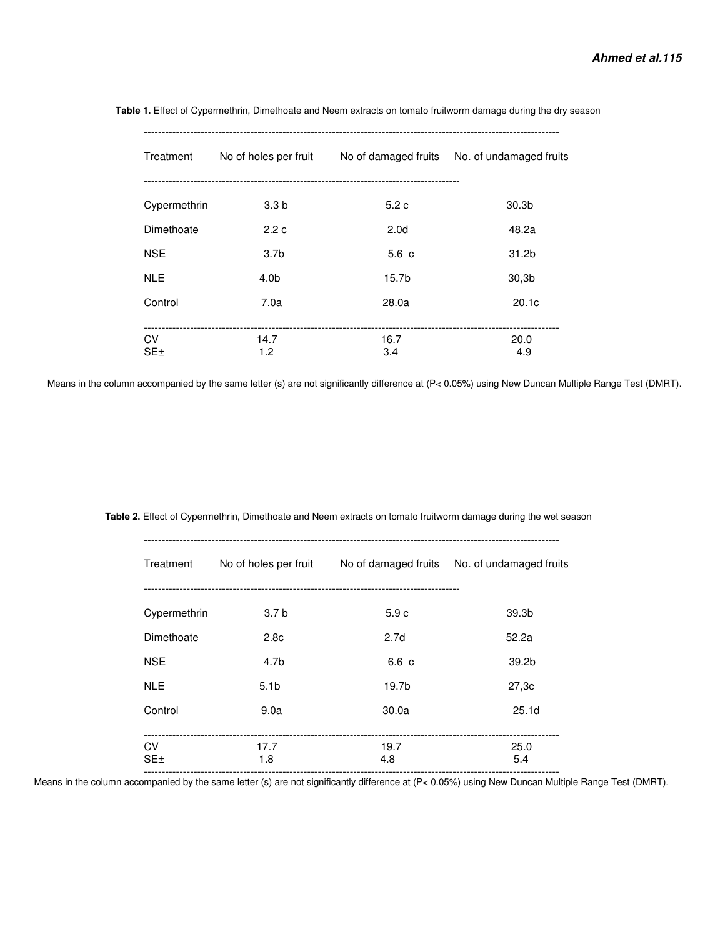| Treatment        | No of holes per fruit |                   | No of damaged fruits No. of undamaged fruits |
|------------------|-----------------------|-------------------|----------------------------------------------|
| Cypermethrin     | 3.3 <sub>b</sub>      | 5.2c              | 30.3 <sub>b</sub>                            |
| Dimethoate       | 2.2c                  | 2.0 <sub>d</sub>  | 48.2a                                        |
| <b>NSE</b>       | 3.7 <sub>b</sub>      | 5.6c              | 31.2b                                        |
| <b>NLE</b>       | 4.0 <sub>b</sub>      | 15.7 <sub>b</sub> | 30.3 <sub>b</sub>                            |
| Control          | 7.0a                  | 28.0a             | 20.1c                                        |
| CV<br><b>SE±</b> | 14.7<br>1.2           | 16.7<br>3.4       | 20.0<br>4.9                                  |

 **Table 1.** Effect of Cypermethrin, Dimethoate and Neem extracts on tomato fruitworm damage during the dry season

Means in the column accompanied by the same letter (s) are not significantly difference at (P< 0.05%) using New Duncan Multiple Range Test (DMRT).

 **Table 2.** Effect of Cypermethrin, Dimethoate and Neem extracts on tomato fruitworm damage during the wet season ---------------------------------------------------------------------------------------------------------------------

| Treatment        | No of holes per fruit |                  | No of damaged fruits No. of undamaged fruits |
|------------------|-----------------------|------------------|----------------------------------------------|
| Cypermethrin     | 3.7 <sub>b</sub>      | 5.9c             | 39.3 <sub>b</sub>                            |
| Dimethoate       | 2.8 <sub>c</sub>      | 2.7 <sub>d</sub> | 52.2a                                        |
| <b>NSE</b>       | 4.7 <sub>b</sub>      | 6.6 c            | 39.2 <sub>b</sub>                            |
| <b>NLE</b>       | 5.1 <sub>b</sub>      | 19.7b            | 27.3c                                        |
| Control          | 9.0a                  | 30.0a            | 25.1 <sub>d</sub>                            |
| CV<br><b>SE±</b> | 17.7<br>1.8           | 19.7<br>4.8      | 25.0<br>5.4                                  |

Means in the column accompanied by the same letter (s) are not significantly difference at (P< 0.05%) using New Duncan Multiple Range Test (DMRT).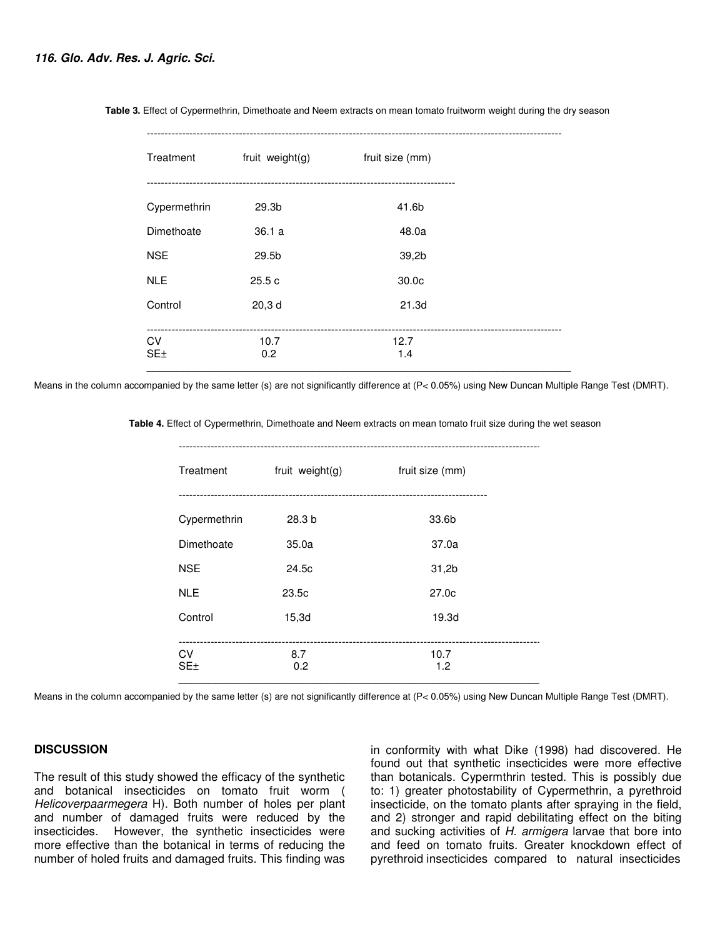| Treatment    | fruit weight(g)   | fruit size (mm) |  |
|--------------|-------------------|-----------------|--|
| Cypermethrin | 29.3 <sub>b</sub> | 41.6b           |  |
| Dimethoate   | 36.1a             | 48.0a           |  |
| <b>NSE</b>   | 29.5b             | 39,2b           |  |
| <b>NLE</b>   | 25.5c             | 30.0c           |  |
| Control      | 20,3d             | 21.3d           |  |
| CV           | 10.7              | 12.7            |  |
| SE±          | 0.2               | 1.4             |  |

 **Table 3.** Effect of Cypermethrin, Dimethoate and Neem extracts on mean tomato fruitworm weight during the dry season

Means in the column accompanied by the same letter (s) are not significantly difference at (P< 0.05%) using New Duncan Multiple Range Test (DMRT).

 **Table 4.** Effect of Cypermethrin, Dimethoate and Neem extracts on mean tomato fruit size during the wet season

---------------------------------------------------------------------------------------------------------------------

| Treatment    | fruit weight(g) | fruit size (mm) |  |
|--------------|-----------------|-----------------|--|
| Cypermethrin | 28.3 b          | 33.6b           |  |
| Dimethoate   | 35.0a           | 37.0a           |  |
| <b>NSE</b>   | 24.5c           | 31,2b           |  |
| <b>NLE</b>   | 23.5c           | 27.0c           |  |
| Control      | 15,3d           | 19.3d           |  |
| CV<br>SE±    | 8.7<br>0.2      | 10.7<br>1.2     |  |

Means in the column accompanied by the same letter (s) are not significantly difference at (P< 0.05%) using New Duncan Multiple Range Test (DMRT).

#### **DISCUSSION**

The result of this study showed the efficacy of the synthetic and botanical insecticides on tomato fruit worm ( Helicoverpaarmegera H). Both number of holes per plant and number of damaged fruits were reduced by the insecticides. However, the synthetic insecticides were more effective than the botanical in terms of reducing the number of holed fruits and damaged fruits. This finding was

in conformity with what Dike (1998) had discovered. He found out that synthetic insecticides were more effective than botanicals. Cypermthrin tested. This is possibly due to: 1) greater photostability of Cypermethrin, a pyrethroid insecticide, on the tomato plants after spraying in the field, and 2) stronger and rapid debilitating effect on the biting and sucking activities of H. armigera larvae that bore into and feed on tomato fruits. Greater knockdown effect of pyrethroid insecticides compared to natural insecticides